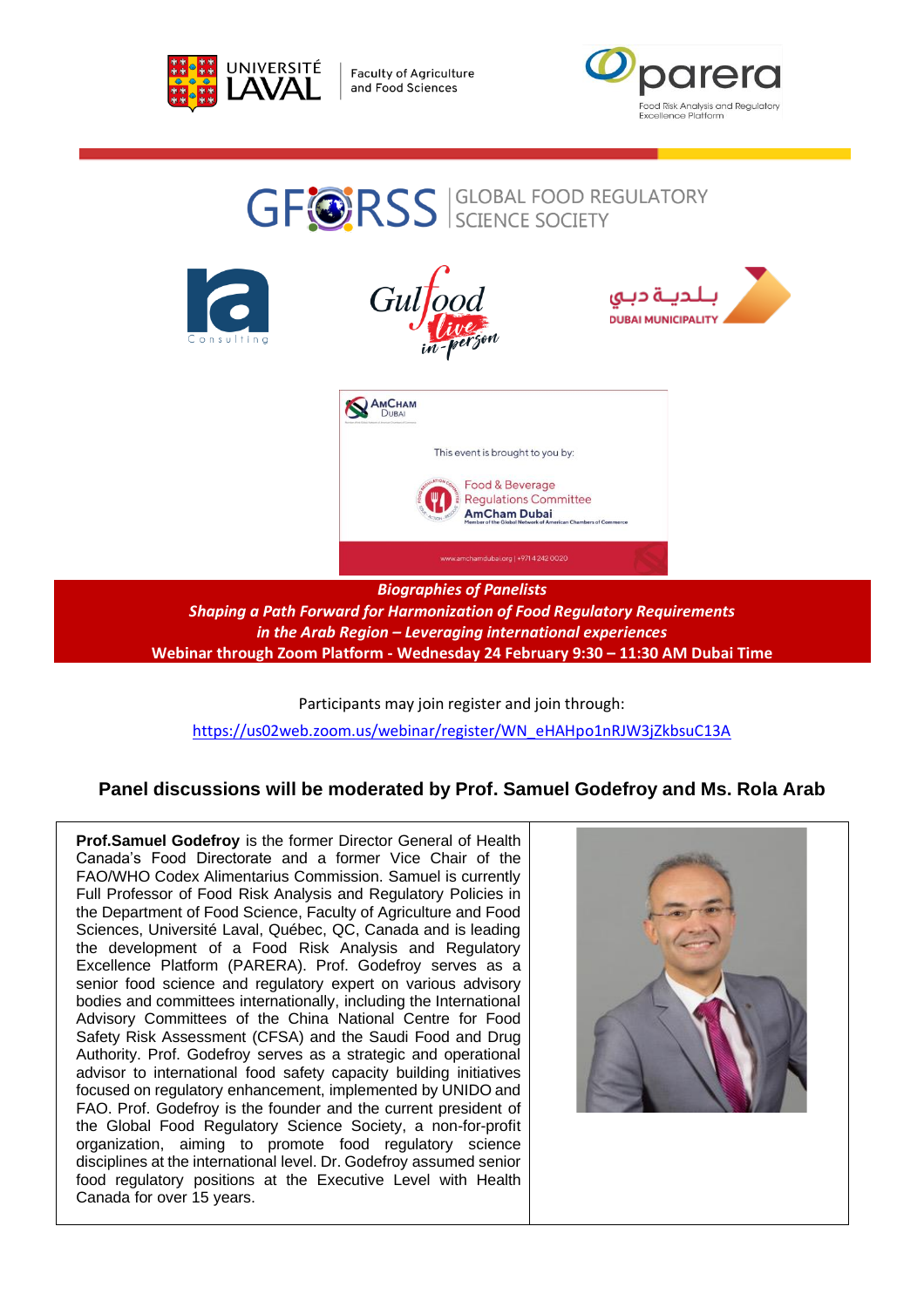

**Faculty of Agriculture** and Food Sciences



# **GFORSS** SCIENCE SOCIETY Gulto للدينة دبي **DUBAI MUNICIPALITY** AMCHAM This event is brought to you by: Food & Beverage **Regulations Committee AmCham Dubai** amchamdubai.org | +971 4 242 0020 *Biographies of Panelists*

*Shaping a Path Forward for Harmonization of Food Regulatory Requirements in the Arab Region – Leveraging international experiences* **Webinar through Zoom Platform - Wednesday 24 February 9:30 – 11:30 AM Dubai Time**

Participants may join register and join through: [https://us02web.zoom.us/webinar/register/WN\\_eHAHpo1nRJW3jZkbsuC13A](https://us02web.zoom.us/webinar/register/WN_eHAHpo1nRJW3jZkbsuC13A)

# **Panel discussions will be moderated by Prof. Samuel Godefroy and Ms. Rola Arab**

**Prof.Samuel Godefroy** is the former Director General of Health Canada's Food Directorate and a former Vice Chair of the FAO/WHO Codex Alimentarius Commission. Samuel is currently Full Professor of Food Risk Analysis and Regulatory Policies in the Department of Food Science, Faculty of Agriculture and Food Sciences, Université Laval, Québec, QC, Canada and is leading the development of a Food Risk Analysis and Regulatory Excellence Platform (PARERA). Prof. Godefroy serves as a senior food science and regulatory expert on various advisory bodies and committees internationally, including the International Advisory Committees of the China National Centre for Food Safety Risk Assessment (CFSA) and the Saudi Food and Drug Authority. Prof. Godefroy serves as a strategic and operational advisor to international food safety capacity building initiatives focused on regulatory enhancement, implemented by UNIDO and FAO. Prof. Godefroy is the founder and the current president of the Global Food Regulatory Science Society, a non-for-profit organization, aiming to promote food regulatory science disciplines at the international level. Dr. Godefroy assumed senior food regulatory positions at the Executive Level with Health Canada for over 15 years.

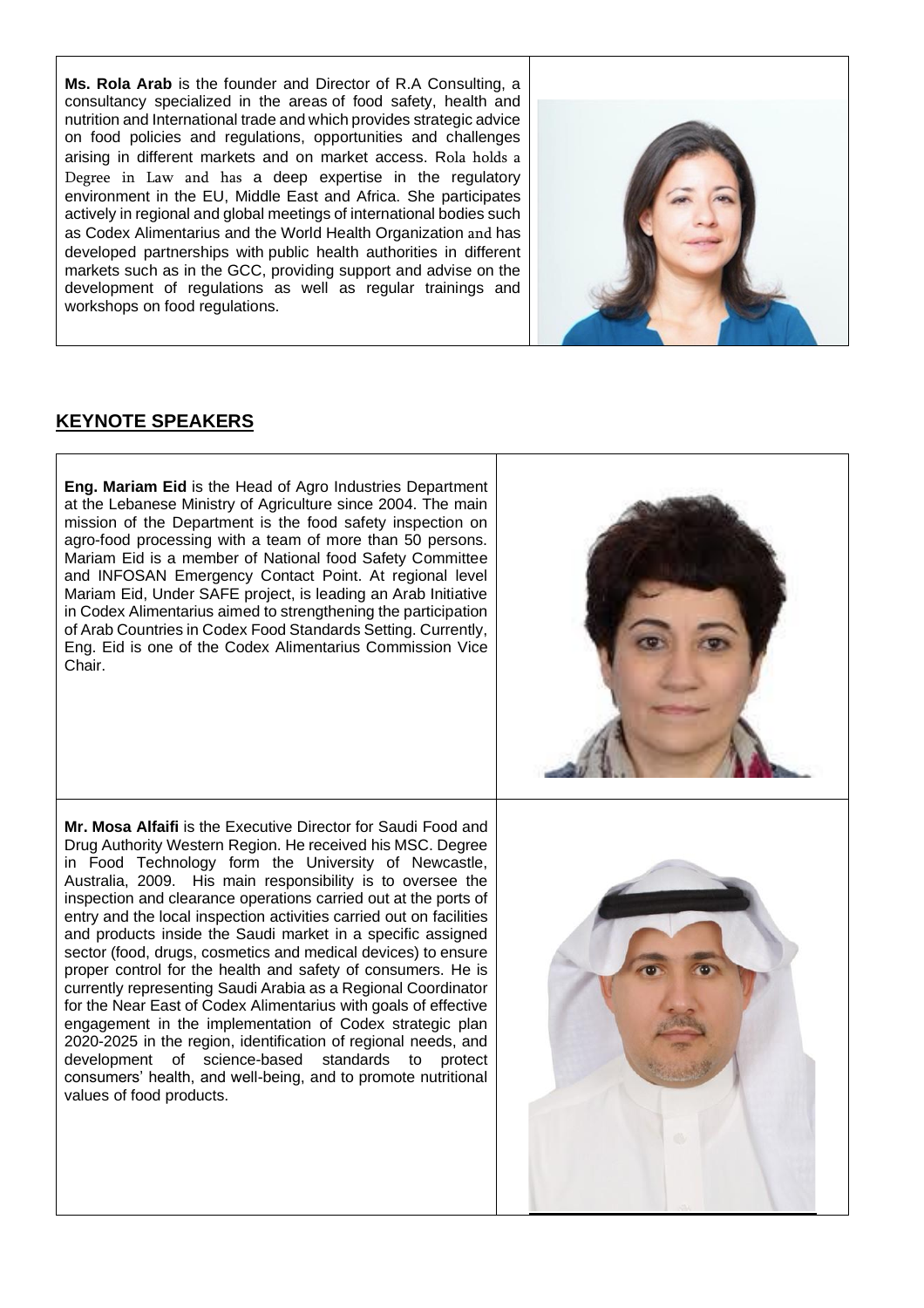**Ms. Rola Arab** is the founder and Director of R.A Consulting, a consultancy specialized in the areas of food safety, health and nutrition and International trade and which provides strategic advice on food policies and regulations, opportunities and challenges arising in different markets and on market access. Rola holds a Degree in Law and has a deep expertise in the regulatory environment in the EU, Middle East and Africa. She participates actively in regional and global meetings of international bodies such as Codex Alimentarius and the World Health Organization and has developed partnerships with public health authorities in different markets such as in the GCC, providing support and advise on the development of regulations as well as regular trainings and workshops on food regulations.



# **KEYNOTE SPEAKERS**

**Eng. Mariam Eid** is the Head of Agro Industries Department at the Lebanese Ministry of Agriculture since 2004. The main mission of the Department is the food safety inspection on agro-food processing with a team of more than 50 persons. Mariam Eid is a member of National food Safety Committee and INFOSAN Emergency Contact Point. At regional level Mariam Eid, Under SAFE project, is leading an Arab Initiative in Codex Alimentarius aimed to strengthening the participation of Arab Countries in Codex Food Standards Setting. Currently, Eng. Eid is one of the Codex Alimentarius Commission Vice Chair.



**Mr. Mosa Alfaifi** is the Executive Director for Saudi Food and Drug Authority Western Region. He received his MSC. Degree in Food Technology form the University of Newcastle, Australia, 2009. His main responsibility is to oversee the inspection and clearance operations carried out at the ports of entry and the local inspection activities carried out on facilities and products inside the Saudi market in a specific assigned sector (food, drugs, cosmetics and medical devices) to ensure proper control for the health and safety of consumers. He is currently representing Saudi Arabia as a Regional Coordinator for the Near East of Codex Alimentarius with goals of effective engagement in the implementation of Codex strategic plan 2020-2025 in the region, identification of regional needs, and development of science-based standards to protect consumers' health, and well-being, and to promote nutritional values of food products.

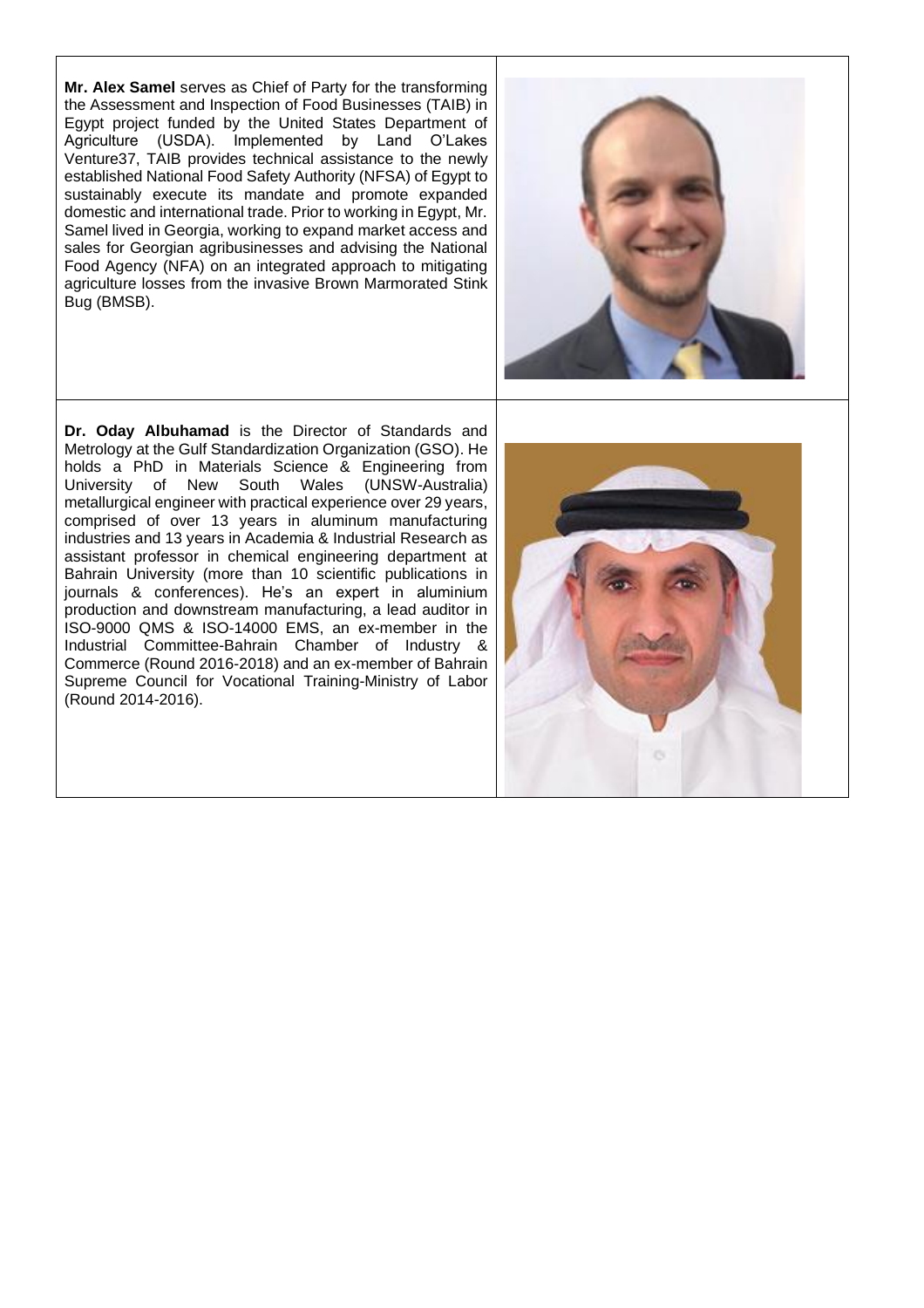**Mr. Alex Samel** serves as Chief of Party for the transforming the Assessment and Inspection of Food Businesses (TAIB) in Egypt project funded by the United States Department of Agriculture (USDA). Implemented by Land O'Lakes Venture37, TAIB provides technical assistance to the newly established National Food Safety Authority (NFSA) of Egypt to sustainably execute its mandate and promote expanded domestic and international trade. Prior to working in Egypt, Mr. Samel lived in Georgia, working to expand market access and sales for Georgian agribusinesses and advising the National Food Agency (NFA) on an integrated approach to mitigating agriculture losses from the invasive Brown Marmorated Stink Bug (BMSB).



**Dr. Oday Albuhamad** is the Director of Standards and Metrology at the Gulf Standardization Organization (GSO). He holds a PhD in Materials Science & Engineering from University of New South Wales (UNSW-Australia) metallurgical engineer with practical experience over 29 years, comprised of over 13 years in aluminum manufacturing industries and 13 years in Academia & Industrial Research as assistant professor in chemical engineering department at Bahrain University (more than 10 scientific publications in journals & conferences). He's an expert in aluminium production and downstream manufacturing, a lead auditor in ISO-9000 QMS & ISO-14000 EMS, an ex-member in the Industrial Committee-Bahrain Chamber of Industry & Commerce (Round 2016-2018) and an ex-member of Bahrain Supreme Council for Vocational Training-Ministry of Labor (Round 2014-2016).

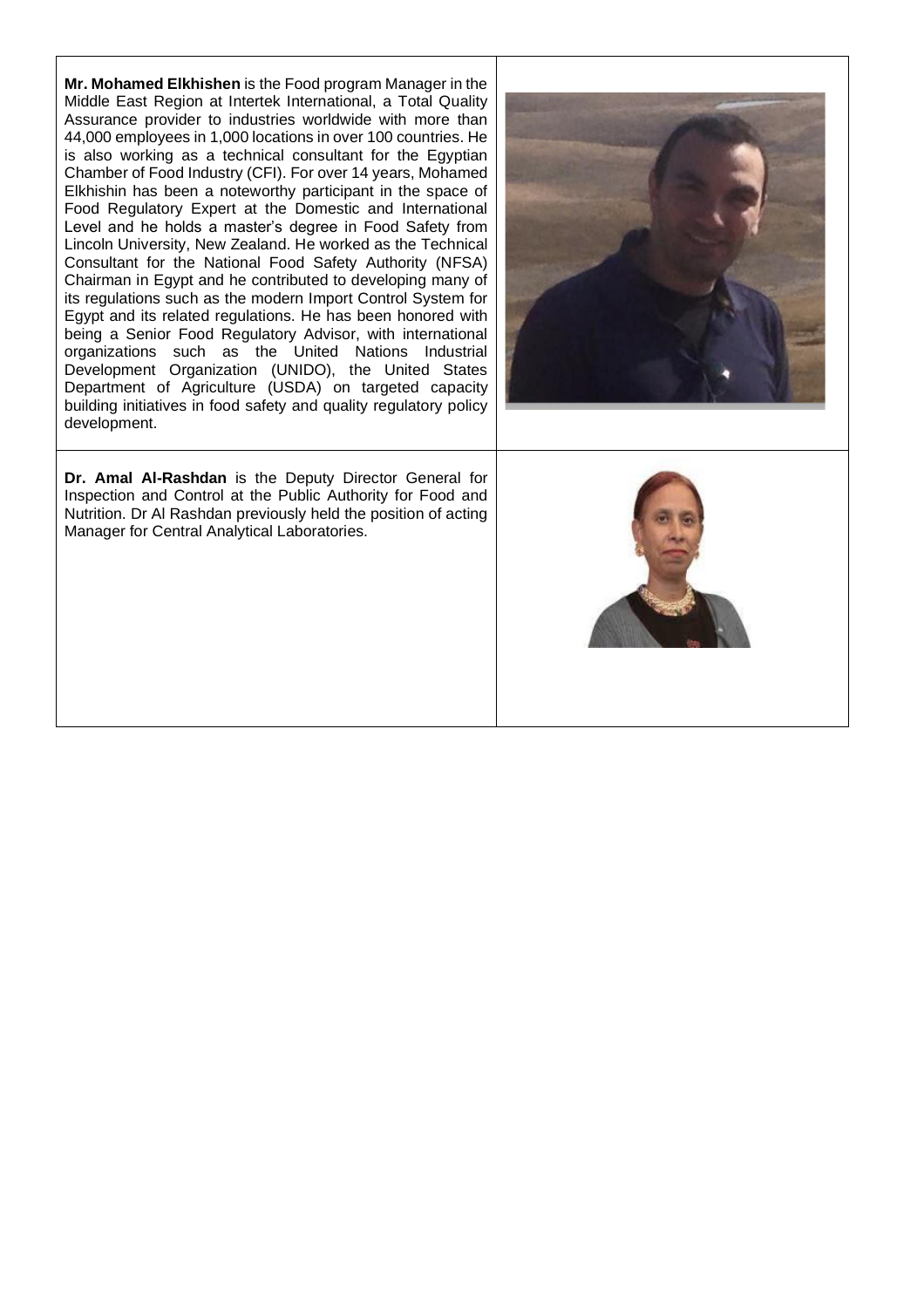**Mr. Mohamed Elkhishen** is the Food program Manager in the Middle East Region at Intertek International, a Total Quality Assurance provider to industries worldwide with more than 44,000 employees in 1,000 locations in over 100 countries. He is also working as a technical consultant for the Egyptian Chamber of Food Industry (CFI). For over 14 years, Mohamed Elkhishin has been a noteworthy participant in the space of Food Regulatory Expert at the Domestic and International Level and he holds a master's degree in Food Safety from Lincoln University, New Zealand. He worked as the Technical Consultant for the National Food Safety Authority (NFSA) Chairman in Egypt and he contributed to developing many of its regulations such as the modern Import Control System for Egypt and its related regulations. He has been honored with being a Senior Food Regulatory Advisor, with international organizations such as the United Nations Industrial Development Organization (UNIDO), the United States Department of Agriculture (USDA) on targeted capacity building initiatives in food safety and quality regulatory policy development.





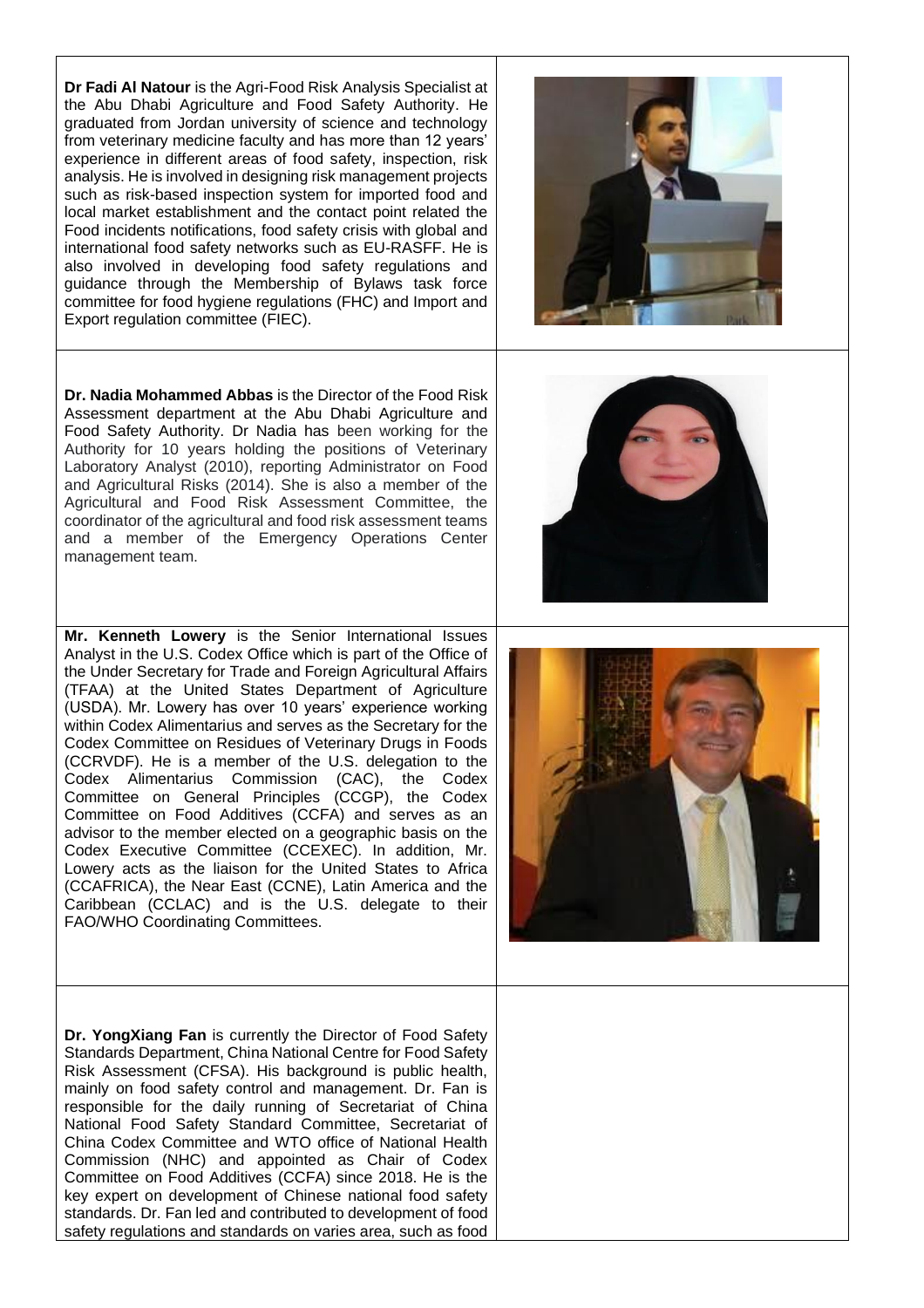**Dr Fadi Al Natour** is the Agri-Food Risk Analysis Specialist at the Abu Dhabi Agriculture and Food Safety Authority. He graduated from Jordan university of science and technology from veterinary medicine faculty and has more than 12 years' experience in different areas of food safety, inspection, risk analysis. He is involved in designing risk management projects such as risk-based inspection system for imported food and local market establishment and the contact point related the Food incidents notifications, food safety crisis with global and international food safety networks such as EU-RASFF. He is also involved in developing food safety regulations and guidance through the Membership of Bylaws task force committee for food hygiene regulations (FHC) and Import and Export regulation committee (FIEC).



**Dr. Nadia Mohammed Abbas** is the Director of the Food Risk Assessment department at the Abu Dhabi Agriculture and Food Safety Authority. Dr Nadia has been working for the Authority for 10 years holding the positions of Veterinary Laboratory Analyst (2010), reporting Administrator on Food and Agricultural Risks (2014). She is also a member of the Agricultural and Food Risk Assessment Committee, the coordinator of the agricultural and food risk assessment teams and a member of the Emergency Operations Center management team.

**Mr. Kenneth Lowery** is the Senior International Issues Analyst in the U.S. Codex Office which is part of the Office of the Under Secretary for Trade and Foreign Agricultural Affairs (TFAA) at the United States Department of Agriculture (USDA). Mr. Lowery has over 10 years' experience working within Codex Alimentarius and serves as the Secretary for the Codex Committee on Residues of Veterinary Drugs in Foods (CCRVDF). He is a member of the U.S. delegation to the Codex Alimentarius Commission (CAC), the Codex Committee on General Principles (CCGP), the Codex Committee on Food Additives (CCFA) and serves as an advisor to the member elected on a geographic basis on the Codex Executive Committee (CCEXEC). In addition, Mr. Lowery acts as the liaison for the United States to Africa (CCAFRICA), the Near East (CCNE), Latin America and the Caribbean (CCLAC) and is the U.S. delegate to their FAO/WHO Coordinating Committees.

**Dr. YongXiang Fan** is currently the Director of Food Safety Standards Department, China National Centre for Food Safety Risk Assessment (CFSA). His background is public health, mainly on food safety control and management. Dr. Fan is responsible for the daily running of Secretariat of China National Food Safety Standard Committee, Secretariat of China Codex Committee and WTO office of National Health Commission (NHC) and appointed as Chair of Codex Committee on Food Additives (CCFA) since 2018. He is the key expert on development of Chinese national food safety standards. Dr. Fan led and contributed to development of food safety regulations and standards on varies area, such as food